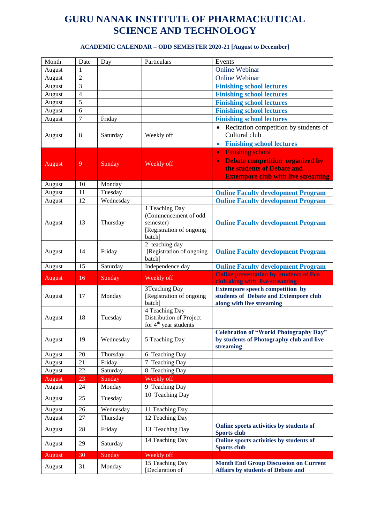| Month         | Date           | Day       | Particulars                                                                               | Events                                                                                                                                         |
|---------------|----------------|-----------|-------------------------------------------------------------------------------------------|------------------------------------------------------------------------------------------------------------------------------------------------|
| August        | 1              |           |                                                                                           | <b>Online Webinar</b>                                                                                                                          |
| August        | $\overline{c}$ |           |                                                                                           | <b>Online Webinar</b>                                                                                                                          |
| August        | 3              |           |                                                                                           | <b>Finishing school lectures</b>                                                                                                               |
| August        | $\overline{4}$ |           |                                                                                           | <b>Finishing school lectures</b>                                                                                                               |
| August        | 5              |           |                                                                                           | <b>Finishing school lectures</b>                                                                                                               |
| August        | 6              |           |                                                                                           | <b>Finishing school lectures</b>                                                                                                               |
| August        | 7              | Friday    |                                                                                           | <b>Finishing school lectures</b>                                                                                                               |
| August        | $8\,$          | Saturday  | Weekly off                                                                                | Recitation competition by students of<br>Cultural club<br><b>Finishing school lectures</b><br>$\bullet$                                        |
|               |                |           |                                                                                           | <b>Finishing school</b><br>$\bullet$                                                                                                           |
| August        | 9              | Sunday    | Weekly off                                                                                | <b>Debate competition organized by</b><br>$\bullet$                                                                                            |
|               |                |           |                                                                                           | the students of Debate and                                                                                                                     |
|               |                |           |                                                                                           | <b>Extempore club with live streaming</b>                                                                                                      |
| August        | 10             | Monday    |                                                                                           |                                                                                                                                                |
| August        | 11             | Tuesday   |                                                                                           | <b>Online Faculty development Program</b>                                                                                                      |
| August        | 12             | Wednesday |                                                                                           | <b>Online Faculty development Program</b>                                                                                                      |
| August        | 13             | Thursday  | 1 Teaching Day<br>(Commencement of odd<br>semester)<br>[Registration of ongoing<br>batch] | <b>Online Faculty development Program</b>                                                                                                      |
| August        | 14             | Friday    | 2 teaching day<br>[Registration of ongoing<br>batch]                                      | <b>Online Faculty development Program</b>                                                                                                      |
|               |                |           |                                                                                           |                                                                                                                                                |
| August        | 15             | Saturday  | Independence day                                                                          | <b>Online Faculty development Program</b>                                                                                                      |
| August        | 16             | Sunday    | Weekly off                                                                                | <b>Online presentation by students of Eco</b>                                                                                                  |
| August        | 17             | Monday    | 3Teaching Day<br>[Registration of ongoing<br>batch]                                       | club along with live streaming<br><b>Extempore speech competition by</b><br>students of Debate and Extempore club<br>along with live streaming |
| August        | 18             | Tuesday   | 4 Teaching Day<br>Distribution of Project<br>for 4 <sup>th</sup> year students            |                                                                                                                                                |
| August        | 19             | Wednesday | 5 Teaching Day                                                                            | <b>Celebration of "World Photography Day"</b><br>by students of Photography club and live<br>streaming                                         |
| August        | $20\,$         | Thursday  | 6 Teaching Day                                                                            |                                                                                                                                                |
| August        | 21             | Friday    | 7 Teaching Day                                                                            |                                                                                                                                                |
| August        | 22             | Saturday  | 8 Teaching Day                                                                            |                                                                                                                                                |
| <b>August</b> | 23             | Sunday    | Weekly off                                                                                |                                                                                                                                                |
| August        | 24             | Monday    | 9 Teaching Day                                                                            |                                                                                                                                                |
| August        | 25             | Tuesday   | 10 Teaching Day                                                                           |                                                                                                                                                |
| August        | 26             | Wednesday | 11 Teaching Day                                                                           |                                                                                                                                                |
| August        | 27             | Thursday  | 12 Teaching Day                                                                           |                                                                                                                                                |
| August        | 28             | Friday    | 13 Teaching Day                                                                           | Online sports activities by students of<br><b>Sports club</b>                                                                                  |
| August        | 29             | Saturday  | 14 Teaching Day                                                                           | Online sports activities by students of<br><b>Sports club</b>                                                                                  |
| August        | 30             | Sunday    | Weekly off<br>15 Teaching Day                                                             | <b>Month End Group Discussion on Current</b>                                                                                                   |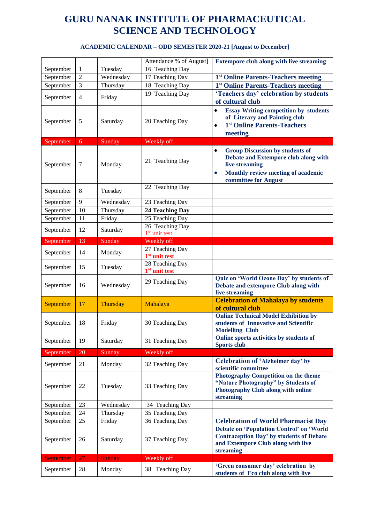|           |                |               | Attendance % of August]                                   | <b>Extempore club along with live streaming</b>                                                                                                                                          |
|-----------|----------------|---------------|-----------------------------------------------------------|------------------------------------------------------------------------------------------------------------------------------------------------------------------------------------------|
| September | 1              | Tuesday       | 16 Teaching Day                                           |                                                                                                                                                                                          |
| September | $\overline{2}$ | Wednesday     | 17 Teaching Day                                           | 1 <sup>st</sup> Online Parents-Teachers meeting                                                                                                                                          |
| September | $\overline{3}$ | Thursday      | 18 Teaching Day                                           | 1 <sup>st</sup> Online Parents-Teachers meeting                                                                                                                                          |
| September | $\overline{4}$ | Friday        | 19 Teaching Day                                           | 'Teachers day' celebration by students<br>of cultural club                                                                                                                               |
| September | 5              | Saturday      | 20 Teaching Day                                           | <b>Essay Writing competition by students</b><br>$\bullet$<br>of Literary and Painting club<br>1 <sup>st</sup> Online Parents-Teachers<br>$\bullet$<br>meeting                            |
| September | 6              | Sunday        | Weekly off                                                |                                                                                                                                                                                          |
| September | 7              | Monday        | 21 Teaching Day                                           | <b>Group Discussion by students of</b><br>$\bullet$<br>Debate and Extempore club along with<br>live streaming<br>Monthly review meeting of academic<br>$\bullet$<br>committee for August |
| September | 8              | Tuesday       | 22 Teaching Day                                           |                                                                                                                                                                                          |
| September | 9              | Wednesday     | 23 Teaching Day                                           |                                                                                                                                                                                          |
| September | 10             | Thursday      | 24 Teaching Day                                           |                                                                                                                                                                                          |
| September | 11             | Friday        | 25 Teaching Day                                           |                                                                                                                                                                                          |
| September | 12             | Saturday      | 26 Teaching Day<br>$1st$ unit test                        |                                                                                                                                                                                          |
| September | 13             | Sunday        | Weekly off                                                |                                                                                                                                                                                          |
| September | 14             | Monday        | $\overline{27}$ Teaching Day<br>1 <sup>st</sup> unit test |                                                                                                                                                                                          |
| September | 15             | Tuesday       | 28 Teaching Day<br>$1st$ unit test                        |                                                                                                                                                                                          |
| September | 16             | Wednesday     | 29 Teaching Day                                           | Quiz on 'World Ozone Day' by students of<br>Debate and extempore Club along with<br>live streaming                                                                                       |
| September | 17             | Thursday      | Mahalaya                                                  | <b>Celebration of Mahalaya by students</b><br>of cultural club                                                                                                                           |
| September | 18             | Friday        | 30 Teaching Day                                           | <b>Online Technical Model Exhibition by</b><br>students of Innovative and Scientific<br><b>Modelling Club</b>                                                                            |
| September | 19             | Saturday      | 31 Teaching Day                                           | Online sports activities by students of<br><b>Sports club</b>                                                                                                                            |
| September | 20             | Sunday        | Weekly off                                                |                                                                                                                                                                                          |
| September | 21             | Monday        | 32 Teaching Day                                           | Celebration of 'Alzheimer day' by<br>scientific committee                                                                                                                                |
| September | 22             | Tuesday       | 33 Teaching Day                                           | <b>Photography Competition on the theme</b><br>"Nature Photography" by Students of<br><b>Photography Club along with online</b><br>streaming                                             |
| September | 23             | Wednesday     | 34 Teaching Day                                           |                                                                                                                                                                                          |
| September | 24             | Thursday      | 35 Teaching Day                                           |                                                                                                                                                                                          |
| September | 25             | Friday        | 36 Teaching Day                                           | <b>Celebration of World Pharmacist Day</b>                                                                                                                                               |
| September | 26             | Saturday      | 37 Teaching Day                                           | <b>Debate on 'Population Control' on 'World</b><br><b>Contraception Day' by students of Debate</b><br>and Extempore Club along with live<br>streaming                                    |
| September | 27             | <b>Sunday</b> | Weekly off                                                |                                                                                                                                                                                          |
| September | 28             | Monday        | 38 Teaching Day                                           | 'Green consumer day' celebration by<br>students of Eco club along with live                                                                                                              |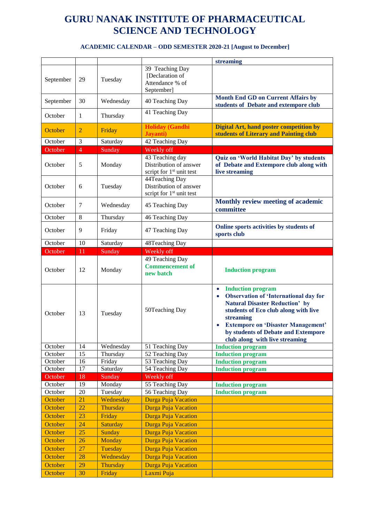|           |              |                 |                                                                                   | streaming                                                                                                                                                                                                                                                                                                              |
|-----------|--------------|-----------------|-----------------------------------------------------------------------------------|------------------------------------------------------------------------------------------------------------------------------------------------------------------------------------------------------------------------------------------------------------------------------------------------------------------------|
|           |              |                 | 39 Teaching Day<br>[Declaration of                                                |                                                                                                                                                                                                                                                                                                                        |
| September | 29           | Tuesday         | Attendance % of<br>September]                                                     |                                                                                                                                                                                                                                                                                                                        |
| September | 30           | Wednesday       | 40 Teaching Day                                                                   | <b>Month End GD on Current Affairs by</b><br>students of Debate and extempore club                                                                                                                                                                                                                                     |
| October   | $\mathbf{1}$ | Thursday        | 41 Teaching Day                                                                   |                                                                                                                                                                                                                                                                                                                        |
| October   | 2            | Friday          | <b>Holiday (Gandhi</b><br>Jayanti)                                                | <b>Digital Art, hand poster competition by</b><br>students of Literary and Painting club                                                                                                                                                                                                                               |
| October   | 3            | Saturday        | 42 Teaching Day                                                                   |                                                                                                                                                                                                                                                                                                                        |
| October   | 4            | Sunday          | Weekly off                                                                        |                                                                                                                                                                                                                                                                                                                        |
| October   | 5            | Monday          | 43 Teaching day<br>Distribution of answer<br>script for 1 <sup>st</sup> unit test | Quiz on 'World Habitat Day' by students<br>of Debate and Extempore club along with<br>live streaming                                                                                                                                                                                                                   |
| October   | 6            | Tuesday         | 44Teaching Day<br>Distribution of answer<br>script for 1 <sup>st</sup> unit test  |                                                                                                                                                                                                                                                                                                                        |
| October   | 7            | Wednesday       | 45 Teaching Day                                                                   | Monthly review meeting of academic<br>committee                                                                                                                                                                                                                                                                        |
| October   | 8            | Thursday        | 46 Teaching Day                                                                   |                                                                                                                                                                                                                                                                                                                        |
| October   | 9            | Friday          | 47 Teaching Day                                                                   | Online sports activities by students of<br>sports club                                                                                                                                                                                                                                                                 |
| October   | 10           | Saturday        | 48Teaching Day                                                                    |                                                                                                                                                                                                                                                                                                                        |
| October   | 11           | Sunday          | Weekly off                                                                        |                                                                                                                                                                                                                                                                                                                        |
| October   | 12           | Monday          | 49 Teaching Day<br><b>Commencement of</b><br>new batch                            | <b>Induction program</b>                                                                                                                                                                                                                                                                                               |
| October   | 13           | Tuesday         | 50Teaching Day                                                                    | <b>Induction program</b><br>$\bullet$<br><b>Observation of 'International day for</b><br>$\bullet$<br><b>Natural Disaster Reduction' by</b><br>students of Eco club along with live<br>streaming<br><b>Extempore on 'Disaster Management'</b><br>by students of Debate and Extempore<br>club along with live streaming |
| October   | 14           | Wednesday       | 51 Teaching Day                                                                   | <b>Induction program</b>                                                                                                                                                                                                                                                                                               |
| October   | 15           | Thursday        | 52 Teaching Day                                                                   | <b>Induction program</b>                                                                                                                                                                                                                                                                                               |
| October   | 16           | Friday          | 53 Teaching Day                                                                   | <b>Induction program</b>                                                                                                                                                                                                                                                                                               |
| October   | $17\,$       | Saturday        | 54 Teaching Day                                                                   | <b>Induction program</b>                                                                                                                                                                                                                                                                                               |
| October   | 18           | Sunday          | Weekly off                                                                        |                                                                                                                                                                                                                                                                                                                        |
| October   | 19           | Monday          | 55 Teaching Day                                                                   | <b>Induction program</b>                                                                                                                                                                                                                                                                                               |
| October   | $20\,$       | Tuesday         | 56 Teaching Day                                                                   | <b>Induction program</b>                                                                                                                                                                                                                                                                                               |
| October   | 21           | Wednesday       | Durga Puja Vacation                                                               |                                                                                                                                                                                                                                                                                                                        |
| October   | 22           | Thursday        | Durga Puja Vacation                                                               |                                                                                                                                                                                                                                                                                                                        |
| October   | 23           | Friday          | Durga Puja Vacation                                                               |                                                                                                                                                                                                                                                                                                                        |
| October   | 24           | Saturday        | Durga Puja Vacation                                                               |                                                                                                                                                                                                                                                                                                                        |
| October   | 25           | Sunday          | Durga Puja Vacation                                                               |                                                                                                                                                                                                                                                                                                                        |
| October   | 26           | <b>Monday</b>   | Durga Puja Vacation                                                               |                                                                                                                                                                                                                                                                                                                        |
| October   | 27           | Tuesday         | Durga Puja Vacation                                                               |                                                                                                                                                                                                                                                                                                                        |
| October   | 28           | Wednesday       | Durga Puja Vacation                                                               |                                                                                                                                                                                                                                                                                                                        |
| October   | 29           | <b>Thursday</b> | Durga Puja Vacation                                                               |                                                                                                                                                                                                                                                                                                                        |
| October   | 30           | Friday          | Laxmi Puja                                                                        |                                                                                                                                                                                                                                                                                                                        |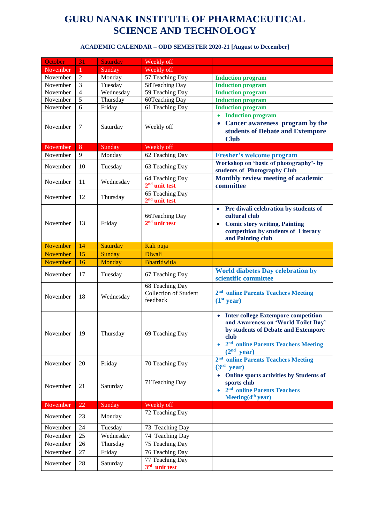| Weekly off<br>November<br>Sunday<br>$\mathbf{1}$<br>57 Teaching Day<br>$\overline{2}$<br>November<br>Monday<br><b>Induction program</b><br>$\overline{3}$<br>Tuesday<br>58Teaching Day<br><b>Induction program</b><br>November<br>$\overline{4}$<br>Wednesday<br>59 Teaching Day<br>November<br><b>Induction program</b><br>$\overline{5}$<br>60Teaching Day<br>November<br>Thursday<br><b>Induction program</b><br>6<br>61 Teaching Day<br>November<br>Friday<br><b>Induction program</b><br><b>Induction program</b><br>Cancer awareness program by the<br>$\bullet$<br>November<br>7<br>Saturday<br>Weekly off<br>students of Debate and Extempore<br><b>Club</b><br>November<br>8<br>Weekly off<br>Sunday<br>9<br>62 Teaching Day<br>November<br>Monday<br><b>Fresher's welcome program</b><br>Workshop on 'basic of photography'- by<br>10<br>November<br>Tuesday<br>63 Teaching Day<br>students of Photography Club<br>Monthly review meeting of academic<br>64 Teaching Day<br>11<br>November<br>Wednesday<br>$2nd$ unit test<br>committee<br>65 Teaching Day<br>12<br>November<br>Thursday<br>$2nd$ unit test<br>Pre diwali celebration by students of<br>$\bullet$<br>cultural club<br>66Teaching Day<br>$2nd$ unit test<br>13<br>Friday<br>November<br><b>Comic story writing, Painting</b><br>$\bullet$<br>competition by students of Literary<br>and Painting club<br>November<br>14<br>Saturday<br>Kali puja<br>November<br>15<br>Diwali<br><b>Sunday</b><br>Bhatridwitia<br>November<br>16<br>Monday<br><b>World diabetes Day celebration by</b><br>17<br>November<br>Tuesday<br>67 Teaching Day<br>scientific committee<br>68 Teaching Day<br><b>Collection of Student</b><br>2 <sup>nd</sup> online Parents Teachers Meeting<br>November<br>18<br>Wednesday<br>feedback<br>(1 <sup>st</sup> year)<br>• Inter college Extempore competition<br>and Awareness on 'World Toilet Day'<br>by students of Debate and Extempore<br>$\mid$ 19<br>Thursday<br>November<br>69 Teaching Day<br>club<br>2 <sup>nd</sup> online Parents Teachers Meeting<br>(2 <sup>nd</sup> year)<br>2 <sup>nd</sup><br>online Parents Teachers Meeting<br>November<br>20<br>Friday<br>70 Teaching Day<br>(3 <sup>rd</sup> year)<br>Online sports activities by Students of<br>71Teaching Day<br>sports club<br>November<br>21<br>Saturday<br>2 <sup>nd</sup> online Parents Teachers<br>Meeting $(4th$ year)<br>November<br>22<br>Weekly off<br>Sunday<br>72 Teaching Day<br>November<br>23<br>Monday<br>November<br>24<br>Tuesday<br>73 Teaching Day<br>November<br>25<br>Wednesday<br>74 Teaching Day<br>26<br>November | October  | 31 | <b>Saturday</b> | Weekly off                         |  |
|----------------------------------------------------------------------------------------------------------------------------------------------------------------------------------------------------------------------------------------------------------------------------------------------------------------------------------------------------------------------------------------------------------------------------------------------------------------------------------------------------------------------------------------------------------------------------------------------------------------------------------------------------------------------------------------------------------------------------------------------------------------------------------------------------------------------------------------------------------------------------------------------------------------------------------------------------------------------------------------------------------------------------------------------------------------------------------------------------------------------------------------------------------------------------------------------------------------------------------------------------------------------------------------------------------------------------------------------------------------------------------------------------------------------------------------------------------------------------------------------------------------------------------------------------------------------------------------------------------------------------------------------------------------------------------------------------------------------------------------------------------------------------------------------------------------------------------------------------------------------------------------------------------------------------------------------------------------------------------------------------------------------------------------------------------------------------------------------------------------------------------------------------------------------------------------------------------------------------------------------------------------------------------------------------------------------------------------------------------------------------------------------------------------------------------------------------------------------------------------------------------------------------------------------------------------------------------------------------------------|----------|----|-----------------|------------------------------------|--|
|                                                                                                                                                                                                                                                                                                                                                                                                                                                                                                                                                                                                                                                                                                                                                                                                                                                                                                                                                                                                                                                                                                                                                                                                                                                                                                                                                                                                                                                                                                                                                                                                                                                                                                                                                                                                                                                                                                                                                                                                                                                                                                                                                                                                                                                                                                                                                                                                                                                                                                                                                                                                                |          |    |                 |                                    |  |
|                                                                                                                                                                                                                                                                                                                                                                                                                                                                                                                                                                                                                                                                                                                                                                                                                                                                                                                                                                                                                                                                                                                                                                                                                                                                                                                                                                                                                                                                                                                                                                                                                                                                                                                                                                                                                                                                                                                                                                                                                                                                                                                                                                                                                                                                                                                                                                                                                                                                                                                                                                                                                |          |    |                 |                                    |  |
|                                                                                                                                                                                                                                                                                                                                                                                                                                                                                                                                                                                                                                                                                                                                                                                                                                                                                                                                                                                                                                                                                                                                                                                                                                                                                                                                                                                                                                                                                                                                                                                                                                                                                                                                                                                                                                                                                                                                                                                                                                                                                                                                                                                                                                                                                                                                                                                                                                                                                                                                                                                                                |          |    |                 |                                    |  |
|                                                                                                                                                                                                                                                                                                                                                                                                                                                                                                                                                                                                                                                                                                                                                                                                                                                                                                                                                                                                                                                                                                                                                                                                                                                                                                                                                                                                                                                                                                                                                                                                                                                                                                                                                                                                                                                                                                                                                                                                                                                                                                                                                                                                                                                                                                                                                                                                                                                                                                                                                                                                                |          |    |                 |                                    |  |
|                                                                                                                                                                                                                                                                                                                                                                                                                                                                                                                                                                                                                                                                                                                                                                                                                                                                                                                                                                                                                                                                                                                                                                                                                                                                                                                                                                                                                                                                                                                                                                                                                                                                                                                                                                                                                                                                                                                                                                                                                                                                                                                                                                                                                                                                                                                                                                                                                                                                                                                                                                                                                |          |    |                 |                                    |  |
|                                                                                                                                                                                                                                                                                                                                                                                                                                                                                                                                                                                                                                                                                                                                                                                                                                                                                                                                                                                                                                                                                                                                                                                                                                                                                                                                                                                                                                                                                                                                                                                                                                                                                                                                                                                                                                                                                                                                                                                                                                                                                                                                                                                                                                                                                                                                                                                                                                                                                                                                                                                                                |          |    |                 |                                    |  |
|                                                                                                                                                                                                                                                                                                                                                                                                                                                                                                                                                                                                                                                                                                                                                                                                                                                                                                                                                                                                                                                                                                                                                                                                                                                                                                                                                                                                                                                                                                                                                                                                                                                                                                                                                                                                                                                                                                                                                                                                                                                                                                                                                                                                                                                                                                                                                                                                                                                                                                                                                                                                                |          |    |                 |                                    |  |
|                                                                                                                                                                                                                                                                                                                                                                                                                                                                                                                                                                                                                                                                                                                                                                                                                                                                                                                                                                                                                                                                                                                                                                                                                                                                                                                                                                                                                                                                                                                                                                                                                                                                                                                                                                                                                                                                                                                                                                                                                                                                                                                                                                                                                                                                                                                                                                                                                                                                                                                                                                                                                |          |    |                 |                                    |  |
|                                                                                                                                                                                                                                                                                                                                                                                                                                                                                                                                                                                                                                                                                                                                                                                                                                                                                                                                                                                                                                                                                                                                                                                                                                                                                                                                                                                                                                                                                                                                                                                                                                                                                                                                                                                                                                                                                                                                                                                                                                                                                                                                                                                                                                                                                                                                                                                                                                                                                                                                                                                                                |          |    |                 |                                    |  |
|                                                                                                                                                                                                                                                                                                                                                                                                                                                                                                                                                                                                                                                                                                                                                                                                                                                                                                                                                                                                                                                                                                                                                                                                                                                                                                                                                                                                                                                                                                                                                                                                                                                                                                                                                                                                                                                                                                                                                                                                                                                                                                                                                                                                                                                                                                                                                                                                                                                                                                                                                                                                                |          |    |                 |                                    |  |
|                                                                                                                                                                                                                                                                                                                                                                                                                                                                                                                                                                                                                                                                                                                                                                                                                                                                                                                                                                                                                                                                                                                                                                                                                                                                                                                                                                                                                                                                                                                                                                                                                                                                                                                                                                                                                                                                                                                                                                                                                                                                                                                                                                                                                                                                                                                                                                                                                                                                                                                                                                                                                |          |    |                 |                                    |  |
|                                                                                                                                                                                                                                                                                                                                                                                                                                                                                                                                                                                                                                                                                                                                                                                                                                                                                                                                                                                                                                                                                                                                                                                                                                                                                                                                                                                                                                                                                                                                                                                                                                                                                                                                                                                                                                                                                                                                                                                                                                                                                                                                                                                                                                                                                                                                                                                                                                                                                                                                                                                                                |          |    |                 |                                    |  |
|                                                                                                                                                                                                                                                                                                                                                                                                                                                                                                                                                                                                                                                                                                                                                                                                                                                                                                                                                                                                                                                                                                                                                                                                                                                                                                                                                                                                                                                                                                                                                                                                                                                                                                                                                                                                                                                                                                                                                                                                                                                                                                                                                                                                                                                                                                                                                                                                                                                                                                                                                                                                                |          |    |                 |                                    |  |
|                                                                                                                                                                                                                                                                                                                                                                                                                                                                                                                                                                                                                                                                                                                                                                                                                                                                                                                                                                                                                                                                                                                                                                                                                                                                                                                                                                                                                                                                                                                                                                                                                                                                                                                                                                                                                                                                                                                                                                                                                                                                                                                                                                                                                                                                                                                                                                                                                                                                                                                                                                                                                |          |    |                 |                                    |  |
|                                                                                                                                                                                                                                                                                                                                                                                                                                                                                                                                                                                                                                                                                                                                                                                                                                                                                                                                                                                                                                                                                                                                                                                                                                                                                                                                                                                                                                                                                                                                                                                                                                                                                                                                                                                                                                                                                                                                                                                                                                                                                                                                                                                                                                                                                                                                                                                                                                                                                                                                                                                                                |          |    |                 |                                    |  |
|                                                                                                                                                                                                                                                                                                                                                                                                                                                                                                                                                                                                                                                                                                                                                                                                                                                                                                                                                                                                                                                                                                                                                                                                                                                                                                                                                                                                                                                                                                                                                                                                                                                                                                                                                                                                                                                                                                                                                                                                                                                                                                                                                                                                                                                                                                                                                                                                                                                                                                                                                                                                                |          |    |                 |                                    |  |
|                                                                                                                                                                                                                                                                                                                                                                                                                                                                                                                                                                                                                                                                                                                                                                                                                                                                                                                                                                                                                                                                                                                                                                                                                                                                                                                                                                                                                                                                                                                                                                                                                                                                                                                                                                                                                                                                                                                                                                                                                                                                                                                                                                                                                                                                                                                                                                                                                                                                                                                                                                                                                |          |    |                 |                                    |  |
|                                                                                                                                                                                                                                                                                                                                                                                                                                                                                                                                                                                                                                                                                                                                                                                                                                                                                                                                                                                                                                                                                                                                                                                                                                                                                                                                                                                                                                                                                                                                                                                                                                                                                                                                                                                                                                                                                                                                                                                                                                                                                                                                                                                                                                                                                                                                                                                                                                                                                                                                                                                                                |          |    |                 |                                    |  |
|                                                                                                                                                                                                                                                                                                                                                                                                                                                                                                                                                                                                                                                                                                                                                                                                                                                                                                                                                                                                                                                                                                                                                                                                                                                                                                                                                                                                                                                                                                                                                                                                                                                                                                                                                                                                                                                                                                                                                                                                                                                                                                                                                                                                                                                                                                                                                                                                                                                                                                                                                                                                                |          |    |                 |                                    |  |
|                                                                                                                                                                                                                                                                                                                                                                                                                                                                                                                                                                                                                                                                                                                                                                                                                                                                                                                                                                                                                                                                                                                                                                                                                                                                                                                                                                                                                                                                                                                                                                                                                                                                                                                                                                                                                                                                                                                                                                                                                                                                                                                                                                                                                                                                                                                                                                                                                                                                                                                                                                                                                |          |    |                 |                                    |  |
|                                                                                                                                                                                                                                                                                                                                                                                                                                                                                                                                                                                                                                                                                                                                                                                                                                                                                                                                                                                                                                                                                                                                                                                                                                                                                                                                                                                                                                                                                                                                                                                                                                                                                                                                                                                                                                                                                                                                                                                                                                                                                                                                                                                                                                                                                                                                                                                                                                                                                                                                                                                                                |          |    |                 |                                    |  |
|                                                                                                                                                                                                                                                                                                                                                                                                                                                                                                                                                                                                                                                                                                                                                                                                                                                                                                                                                                                                                                                                                                                                                                                                                                                                                                                                                                                                                                                                                                                                                                                                                                                                                                                                                                                                                                                                                                                                                                                                                                                                                                                                                                                                                                                                                                                                                                                                                                                                                                                                                                                                                |          |    |                 |                                    |  |
|                                                                                                                                                                                                                                                                                                                                                                                                                                                                                                                                                                                                                                                                                                                                                                                                                                                                                                                                                                                                                                                                                                                                                                                                                                                                                                                                                                                                                                                                                                                                                                                                                                                                                                                                                                                                                                                                                                                                                                                                                                                                                                                                                                                                                                                                                                                                                                                                                                                                                                                                                                                                                |          |    |                 |                                    |  |
|                                                                                                                                                                                                                                                                                                                                                                                                                                                                                                                                                                                                                                                                                                                                                                                                                                                                                                                                                                                                                                                                                                                                                                                                                                                                                                                                                                                                                                                                                                                                                                                                                                                                                                                                                                                                                                                                                                                                                                                                                                                                                                                                                                                                                                                                                                                                                                                                                                                                                                                                                                                                                |          |    |                 |                                    |  |
|                                                                                                                                                                                                                                                                                                                                                                                                                                                                                                                                                                                                                                                                                                                                                                                                                                                                                                                                                                                                                                                                                                                                                                                                                                                                                                                                                                                                                                                                                                                                                                                                                                                                                                                                                                                                                                                                                                                                                                                                                                                                                                                                                                                                                                                                                                                                                                                                                                                                                                                                                                                                                |          |    |                 |                                    |  |
|                                                                                                                                                                                                                                                                                                                                                                                                                                                                                                                                                                                                                                                                                                                                                                                                                                                                                                                                                                                                                                                                                                                                                                                                                                                                                                                                                                                                                                                                                                                                                                                                                                                                                                                                                                                                                                                                                                                                                                                                                                                                                                                                                                                                                                                                                                                                                                                                                                                                                                                                                                                                                |          |    |                 |                                    |  |
|                                                                                                                                                                                                                                                                                                                                                                                                                                                                                                                                                                                                                                                                                                                                                                                                                                                                                                                                                                                                                                                                                                                                                                                                                                                                                                                                                                                                                                                                                                                                                                                                                                                                                                                                                                                                                                                                                                                                                                                                                                                                                                                                                                                                                                                                                                                                                                                                                                                                                                                                                                                                                |          |    |                 |                                    |  |
|                                                                                                                                                                                                                                                                                                                                                                                                                                                                                                                                                                                                                                                                                                                                                                                                                                                                                                                                                                                                                                                                                                                                                                                                                                                                                                                                                                                                                                                                                                                                                                                                                                                                                                                                                                                                                                                                                                                                                                                                                                                                                                                                                                                                                                                                                                                                                                                                                                                                                                                                                                                                                |          |    |                 |                                    |  |
|                                                                                                                                                                                                                                                                                                                                                                                                                                                                                                                                                                                                                                                                                                                                                                                                                                                                                                                                                                                                                                                                                                                                                                                                                                                                                                                                                                                                                                                                                                                                                                                                                                                                                                                                                                                                                                                                                                                                                                                                                                                                                                                                                                                                                                                                                                                                                                                                                                                                                                                                                                                                                |          |    |                 |                                    |  |
|                                                                                                                                                                                                                                                                                                                                                                                                                                                                                                                                                                                                                                                                                                                                                                                                                                                                                                                                                                                                                                                                                                                                                                                                                                                                                                                                                                                                                                                                                                                                                                                                                                                                                                                                                                                                                                                                                                                                                                                                                                                                                                                                                                                                                                                                                                                                                                                                                                                                                                                                                                                                                |          |    |                 |                                    |  |
|                                                                                                                                                                                                                                                                                                                                                                                                                                                                                                                                                                                                                                                                                                                                                                                                                                                                                                                                                                                                                                                                                                                                                                                                                                                                                                                                                                                                                                                                                                                                                                                                                                                                                                                                                                                                                                                                                                                                                                                                                                                                                                                                                                                                                                                                                                                                                                                                                                                                                                                                                                                                                |          |    |                 |                                    |  |
|                                                                                                                                                                                                                                                                                                                                                                                                                                                                                                                                                                                                                                                                                                                                                                                                                                                                                                                                                                                                                                                                                                                                                                                                                                                                                                                                                                                                                                                                                                                                                                                                                                                                                                                                                                                                                                                                                                                                                                                                                                                                                                                                                                                                                                                                                                                                                                                                                                                                                                                                                                                                                |          |    |                 |                                    |  |
|                                                                                                                                                                                                                                                                                                                                                                                                                                                                                                                                                                                                                                                                                                                                                                                                                                                                                                                                                                                                                                                                                                                                                                                                                                                                                                                                                                                                                                                                                                                                                                                                                                                                                                                                                                                                                                                                                                                                                                                                                                                                                                                                                                                                                                                                                                                                                                                                                                                                                                                                                                                                                |          |    |                 |                                    |  |
|                                                                                                                                                                                                                                                                                                                                                                                                                                                                                                                                                                                                                                                                                                                                                                                                                                                                                                                                                                                                                                                                                                                                                                                                                                                                                                                                                                                                                                                                                                                                                                                                                                                                                                                                                                                                                                                                                                                                                                                                                                                                                                                                                                                                                                                                                                                                                                                                                                                                                                                                                                                                                |          |    |                 |                                    |  |
|                                                                                                                                                                                                                                                                                                                                                                                                                                                                                                                                                                                                                                                                                                                                                                                                                                                                                                                                                                                                                                                                                                                                                                                                                                                                                                                                                                                                                                                                                                                                                                                                                                                                                                                                                                                                                                                                                                                                                                                                                                                                                                                                                                                                                                                                                                                                                                                                                                                                                                                                                                                                                |          |    |                 |                                    |  |
|                                                                                                                                                                                                                                                                                                                                                                                                                                                                                                                                                                                                                                                                                                                                                                                                                                                                                                                                                                                                                                                                                                                                                                                                                                                                                                                                                                                                                                                                                                                                                                                                                                                                                                                                                                                                                                                                                                                                                                                                                                                                                                                                                                                                                                                                                                                                                                                                                                                                                                                                                                                                                |          |    |                 |                                    |  |
|                                                                                                                                                                                                                                                                                                                                                                                                                                                                                                                                                                                                                                                                                                                                                                                                                                                                                                                                                                                                                                                                                                                                                                                                                                                                                                                                                                                                                                                                                                                                                                                                                                                                                                                                                                                                                                                                                                                                                                                                                                                                                                                                                                                                                                                                                                                                                                                                                                                                                                                                                                                                                |          |    |                 |                                    |  |
|                                                                                                                                                                                                                                                                                                                                                                                                                                                                                                                                                                                                                                                                                                                                                                                                                                                                                                                                                                                                                                                                                                                                                                                                                                                                                                                                                                                                                                                                                                                                                                                                                                                                                                                                                                                                                                                                                                                                                                                                                                                                                                                                                                                                                                                                                                                                                                                                                                                                                                                                                                                                                |          |    |                 |                                    |  |
|                                                                                                                                                                                                                                                                                                                                                                                                                                                                                                                                                                                                                                                                                                                                                                                                                                                                                                                                                                                                                                                                                                                                                                                                                                                                                                                                                                                                                                                                                                                                                                                                                                                                                                                                                                                                                                                                                                                                                                                                                                                                                                                                                                                                                                                                                                                                                                                                                                                                                                                                                                                                                |          |    |                 |                                    |  |
|                                                                                                                                                                                                                                                                                                                                                                                                                                                                                                                                                                                                                                                                                                                                                                                                                                                                                                                                                                                                                                                                                                                                                                                                                                                                                                                                                                                                                                                                                                                                                                                                                                                                                                                                                                                                                                                                                                                                                                                                                                                                                                                                                                                                                                                                                                                                                                                                                                                                                                                                                                                                                |          |    |                 |                                    |  |
|                                                                                                                                                                                                                                                                                                                                                                                                                                                                                                                                                                                                                                                                                                                                                                                                                                                                                                                                                                                                                                                                                                                                                                                                                                                                                                                                                                                                                                                                                                                                                                                                                                                                                                                                                                                                                                                                                                                                                                                                                                                                                                                                                                                                                                                                                                                                                                                                                                                                                                                                                                                                                |          |    |                 |                                    |  |
|                                                                                                                                                                                                                                                                                                                                                                                                                                                                                                                                                                                                                                                                                                                                                                                                                                                                                                                                                                                                                                                                                                                                                                                                                                                                                                                                                                                                                                                                                                                                                                                                                                                                                                                                                                                                                                                                                                                                                                                                                                                                                                                                                                                                                                                                                                                                                                                                                                                                                                                                                                                                                |          |    |                 |                                    |  |
|                                                                                                                                                                                                                                                                                                                                                                                                                                                                                                                                                                                                                                                                                                                                                                                                                                                                                                                                                                                                                                                                                                                                                                                                                                                                                                                                                                                                                                                                                                                                                                                                                                                                                                                                                                                                                                                                                                                                                                                                                                                                                                                                                                                                                                                                                                                                                                                                                                                                                                                                                                                                                |          |    |                 |                                    |  |
|                                                                                                                                                                                                                                                                                                                                                                                                                                                                                                                                                                                                                                                                                                                                                                                                                                                                                                                                                                                                                                                                                                                                                                                                                                                                                                                                                                                                                                                                                                                                                                                                                                                                                                                                                                                                                                                                                                                                                                                                                                                                                                                                                                                                                                                                                                                                                                                                                                                                                                                                                                                                                |          |    |                 |                                    |  |
|                                                                                                                                                                                                                                                                                                                                                                                                                                                                                                                                                                                                                                                                                                                                                                                                                                                                                                                                                                                                                                                                                                                                                                                                                                                                                                                                                                                                                                                                                                                                                                                                                                                                                                                                                                                                                                                                                                                                                                                                                                                                                                                                                                                                                                                                                                                                                                                                                                                                                                                                                                                                                |          |    |                 |                                    |  |
|                                                                                                                                                                                                                                                                                                                                                                                                                                                                                                                                                                                                                                                                                                                                                                                                                                                                                                                                                                                                                                                                                                                                                                                                                                                                                                                                                                                                                                                                                                                                                                                                                                                                                                                                                                                                                                                                                                                                                                                                                                                                                                                                                                                                                                                                                                                                                                                                                                                                                                                                                                                                                |          |    |                 |                                    |  |
|                                                                                                                                                                                                                                                                                                                                                                                                                                                                                                                                                                                                                                                                                                                                                                                                                                                                                                                                                                                                                                                                                                                                                                                                                                                                                                                                                                                                                                                                                                                                                                                                                                                                                                                                                                                                                                                                                                                                                                                                                                                                                                                                                                                                                                                                                                                                                                                                                                                                                                                                                                                                                |          |    |                 |                                    |  |
|                                                                                                                                                                                                                                                                                                                                                                                                                                                                                                                                                                                                                                                                                                                                                                                                                                                                                                                                                                                                                                                                                                                                                                                                                                                                                                                                                                                                                                                                                                                                                                                                                                                                                                                                                                                                                                                                                                                                                                                                                                                                                                                                                                                                                                                                                                                                                                                                                                                                                                                                                                                                                |          |    |                 |                                    |  |
|                                                                                                                                                                                                                                                                                                                                                                                                                                                                                                                                                                                                                                                                                                                                                                                                                                                                                                                                                                                                                                                                                                                                                                                                                                                                                                                                                                                                                                                                                                                                                                                                                                                                                                                                                                                                                                                                                                                                                                                                                                                                                                                                                                                                                                                                                                                                                                                                                                                                                                                                                                                                                |          |    |                 |                                    |  |
|                                                                                                                                                                                                                                                                                                                                                                                                                                                                                                                                                                                                                                                                                                                                                                                                                                                                                                                                                                                                                                                                                                                                                                                                                                                                                                                                                                                                                                                                                                                                                                                                                                                                                                                                                                                                                                                                                                                                                                                                                                                                                                                                                                                                                                                                                                                                                                                                                                                                                                                                                                                                                |          |    | Thursday        | 75 Teaching Day                    |  |
| 28<br>November<br>Saturday<br>3rd unit test                                                                                                                                                                                                                                                                                                                                                                                                                                                                                                                                                                                                                                                                                                                                                                                                                                                                                                                                                                                                                                                                                                                                                                                                                                                                                                                                                                                                                                                                                                                                                                                                                                                                                                                                                                                                                                                                                                                                                                                                                                                                                                                                                                                                                                                                                                                                                                                                                                                                                                                                                                    | November | 27 | Friday          | 76 Teaching Day<br>77 Teaching Day |  |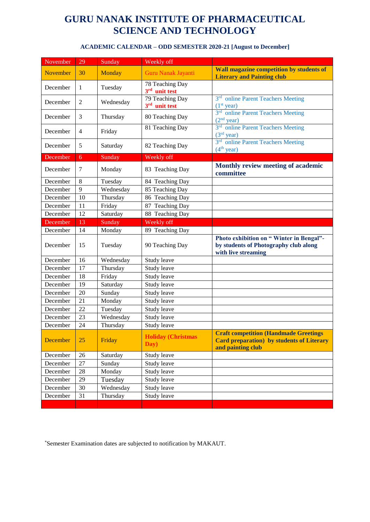| <b>ACADEMIC CALENDAR - ODD SEMESTER 2020-21 [August to December]</b> |  |
|----------------------------------------------------------------------|--|
|----------------------------------------------------------------------|--|

| November | 29             | Sunday    | Weekly off                         |                                                                                                                         |
|----------|----------------|-----------|------------------------------------|-------------------------------------------------------------------------------------------------------------------------|
| November | 30             | Monday    | Guru Nanak Jayanti                 | Wall magazine competition by students of<br><b>Literary and Painting club</b>                                           |
| December | $\mathbf{1}$   | Tuesday   | 78 Teaching Day<br>3rd unit test   |                                                                                                                         |
| December | $\overline{2}$ | Wednesday | 79 Teaching Day<br>3rd unit test   | 3rd online Parent Teachers Meeting<br>(1 <sup>st</sup> year)                                                            |
| December | 3              | Thursday  | 80 Teaching Day                    | 3rd online Parent Teachers Meeting<br>(2 <sup>nd</sup> year)                                                            |
| December | $\overline{4}$ | Friday    | 81 Teaching Day                    | 3rd online Parent Teachers Meeting<br>(3 <sup>rd</sup> year)                                                            |
| December | 5              | Saturday  | 82 Teaching Day                    | 3rd online Parent Teachers Meeting<br>(4 <sup>th</sup> year)                                                            |
| December | 6              | Sunday    | Weekly off                         |                                                                                                                         |
| December | $\tau$         | Monday    | 83 Teaching Day                    | Monthly review meeting of academic<br>committee                                                                         |
| December | 8              | Tuesday   | 84 Teaching Day                    |                                                                                                                         |
| December | 9              | Wednesday | 85 Teaching Day                    |                                                                                                                         |
| December | 10             | Thursday  | 86 Teaching Day                    |                                                                                                                         |
| December | 11             | Friday    | 87 Teaching Day                    |                                                                                                                         |
| December | 12             | Saturday  | 88 Teaching Day                    |                                                                                                                         |
| December | 13             | Sunday    | Weekly off                         |                                                                                                                         |
| December | 14             | Monday    | 89 Teaching Day                    |                                                                                                                         |
| December | 15             | Tuesday   | 90 Teaching Day                    | Photo exhibition on "Winter in Bengal"-<br>by students of Photography club along<br>with live streaming                 |
| December | 16             | Wednesday | Study leave                        |                                                                                                                         |
| December | 17             | Thursday  | Study leave                        |                                                                                                                         |
| December | 18             | Friday    | Study leave                        |                                                                                                                         |
| December | 19             | Saturday  | Study leave                        |                                                                                                                         |
| December | 20             | Sunday    | Study leave                        |                                                                                                                         |
| December | 21             | Monday    | Study leave                        |                                                                                                                         |
| December | 22             | Tuesday   | Study leave                        |                                                                                                                         |
| December | 23             | Wednesday | Study leave                        |                                                                                                                         |
| December | 24             | Thursday  | Study leave                        |                                                                                                                         |
| December | 25             | Friday    | <b>Holiday (Christmas)</b><br>Day) | <b>Craft competition (Handmade Greetings)</b><br><b>Card preparation</b> ) by students of Literary<br>and painting club |
| December | 26             | Saturday  | Study leave                        |                                                                                                                         |
| December | 27             | Sunday    | Study leave                        |                                                                                                                         |
| December | 28             | Monday    | Study leave                        |                                                                                                                         |
| December | 29             | Tuesday   | Study leave                        |                                                                                                                         |
| December | 30             | Wednesday | Study leave                        |                                                                                                                         |
| December | 31             | Thursday  | Study leave                        |                                                                                                                         |
|          |                |           |                                    |                                                                                                                         |

\*Semester Examination dates are subjected to notification by MAKAUT.